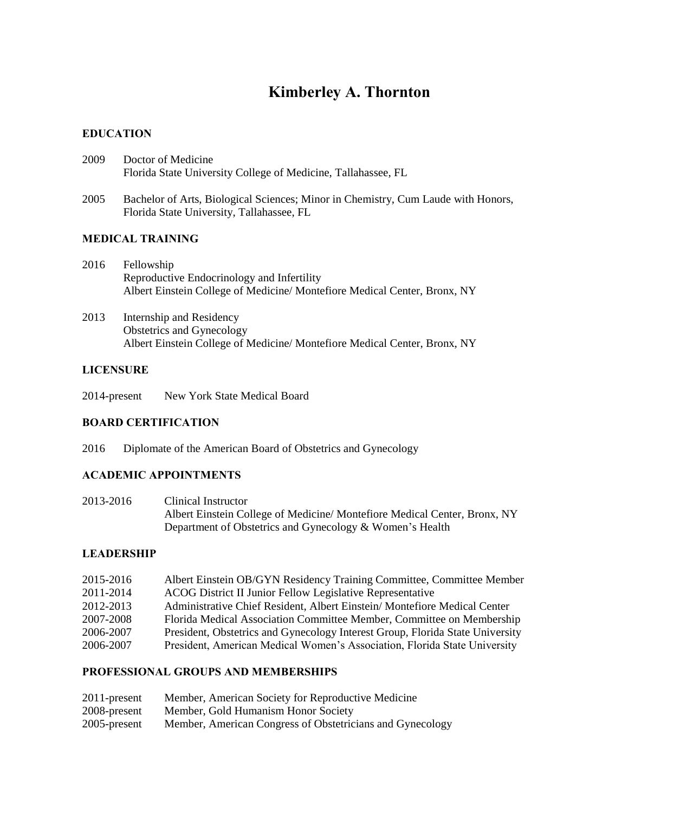# **Kimberley A. Thornton**

## **EDUCATION**

- 2009 Doctor of Medicine Florida State University College of Medicine, Tallahassee, FL
- 2005 Bachelor of Arts, Biological Sciences; Minor in Chemistry, Cum Laude with Honors, Florida State University, Tallahassee, FL

## **MEDICAL TRAINING**

- 2016 Fellowship Reproductive Endocrinology and Infertility Albert Einstein College of Medicine/ Montefiore Medical Center, Bronx, NY
- 2013 Internship and Residency Obstetrics and Gynecology Albert Einstein College of Medicine/ Montefiore Medical Center, Bronx, NY

## **LICENSURE**

2014-present New York State Medical Board

# **BOARD CERTIFICATION**

2016 Diplomate of the American Board of Obstetrics and Gynecology

# **ACADEMIC APPOINTMENTS**

2013-2016 Clinical Instructor Albert Einstein College of Medicine/ Montefiore Medical Center, Bronx, NY Department of Obstetrics and Gynecology & Women's Health

#### **LEADERSHIP**

| 2015-2016 | Albert Einstein OB/GYN Residency Training Committee, Committee Member         |
|-----------|-------------------------------------------------------------------------------|
| 2011-2014 | ACOG District II Junior Fellow Legislative Representative                     |
| 2012-2013 | Administrative Chief Resident, Albert Einstein/Montefiore Medical Center      |
| 2007-2008 | Florida Medical Association Committee Member, Committee on Membership         |
| 2006-2007 | President, Obstetrics and Gynecology Interest Group, Florida State University |
| 2006-2007 | President, American Medical Women's Association, Florida State University     |

# **PROFESSIONAL GROUPS AND MEMBERSHIPS**

| $2011$ -present | Member, American Society for Reproductive Medicine        |
|-----------------|-----------------------------------------------------------|
| 2008-present    | Member, Gold Humanism Honor Society                       |
| $2005$ -present | Member, American Congress of Obstetricians and Gynecology |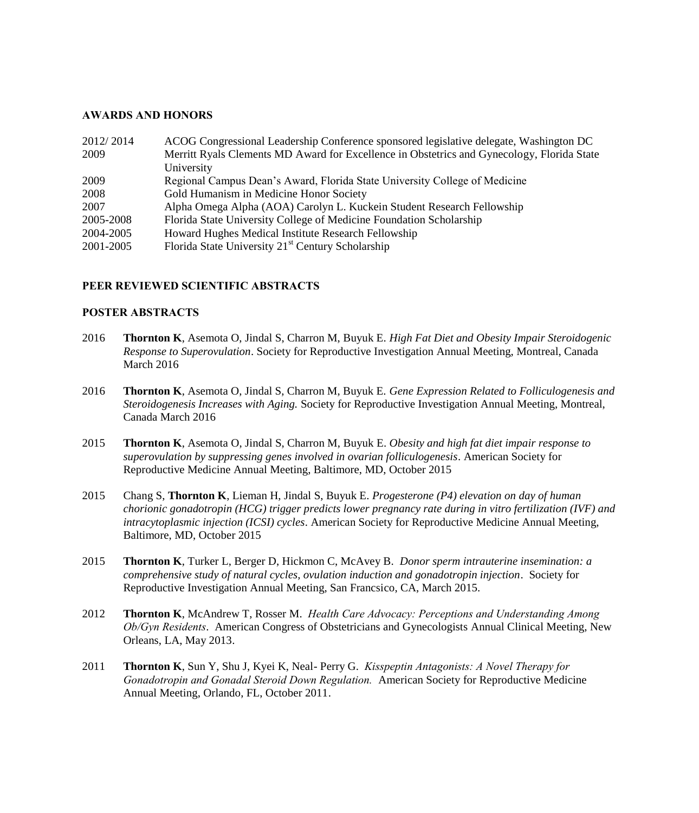#### **AWARDS AND HONORS**

| 2012/2014 | ACOG Congressional Leadership Conference sponsored legislative delegate, Washington DC     |
|-----------|--------------------------------------------------------------------------------------------|
| 2009      | Merritt Ryals Clements MD Award for Excellence in Obstetrics and Gynecology, Florida State |
|           | University                                                                                 |
| 2009      | Regional Campus Dean's Award, Florida State University College of Medicine                 |
| 2008      | Gold Humanism in Medicine Honor Society                                                    |
| 2007      | Alpha Omega Alpha (AOA) Carolyn L. Kuckein Student Research Fellowship                     |
| 2005-2008 | Florida State University College of Medicine Foundation Scholarship                        |
| 2004-2005 | Howard Hughes Medical Institute Research Fellowship                                        |
| 2001-2005 | Florida State University 21 <sup>st</sup> Century Scholarship                              |

# **PEER REVIEWED SCIENTIFIC ABSTRACTS**

#### **POSTER ABSTRACTS**

- 2016 **Thornton K**, Asemota O, Jindal S, Charron M, Buyuk E. *High Fat Diet and Obesity Impair Steroidogenic Response to Superovulation*. Society for Reproductive Investigation Annual Meeting, Montreal, Canada March 2016
- 2016 **Thornton K**, Asemota O, Jindal S, Charron M, Buyuk E. *Gene Expression Related to Folliculogenesis and Steroidogenesis Increases with Aging.* Society for Reproductive Investigation Annual Meeting, Montreal, Canada March 2016
- 2015 **Thornton K**, Asemota O, Jindal S, Charron M, Buyuk E. *Obesity and high fat diet impair response to superovulation by suppressing genes involved in ovarian folliculogenesis*. American Society for Reproductive Medicine Annual Meeting, Baltimore, MD, October 2015
- 2015 Chang S, **Thornton K**, Lieman H, Jindal S, Buyuk E. *Progesterone (P4) elevation on day of human chorionic gonadotropin (HCG) trigger predicts lower pregnancy rate during in vitro fertilization (IVF) and intracytoplasmic injection (ICSI) cycles*. American Society for Reproductive Medicine Annual Meeting, Baltimore, MD, October 2015
- 2015 **Thornton K**, Turker L, Berger D, Hickmon C, McAvey B. *Donor sperm intrauterine insemination: a comprehensive study of natural cycles, ovulation induction and gonadotropin injection*. Society for Reproductive Investigation Annual Meeting, San Francsico, CA, March 2015.
- 2012 **Thornton K**, McAndrew T, Rosser M. *Health Care Advocacy: Perceptions and Understanding Among Ob/Gyn Residents*. American Congress of Obstetricians and Gynecologists Annual Clinical Meeting, New Orleans, LA, May 2013.
- 2011 **Thornton K**, Sun Y, Shu J, Kyei K, Neal- Perry G. *Kisspeptin Antagonists: A Novel Therapy for Gonadotropin and Gonadal Steroid Down Regulation.* American Society for Reproductive Medicine Annual Meeting, Orlando, FL, October 2011.